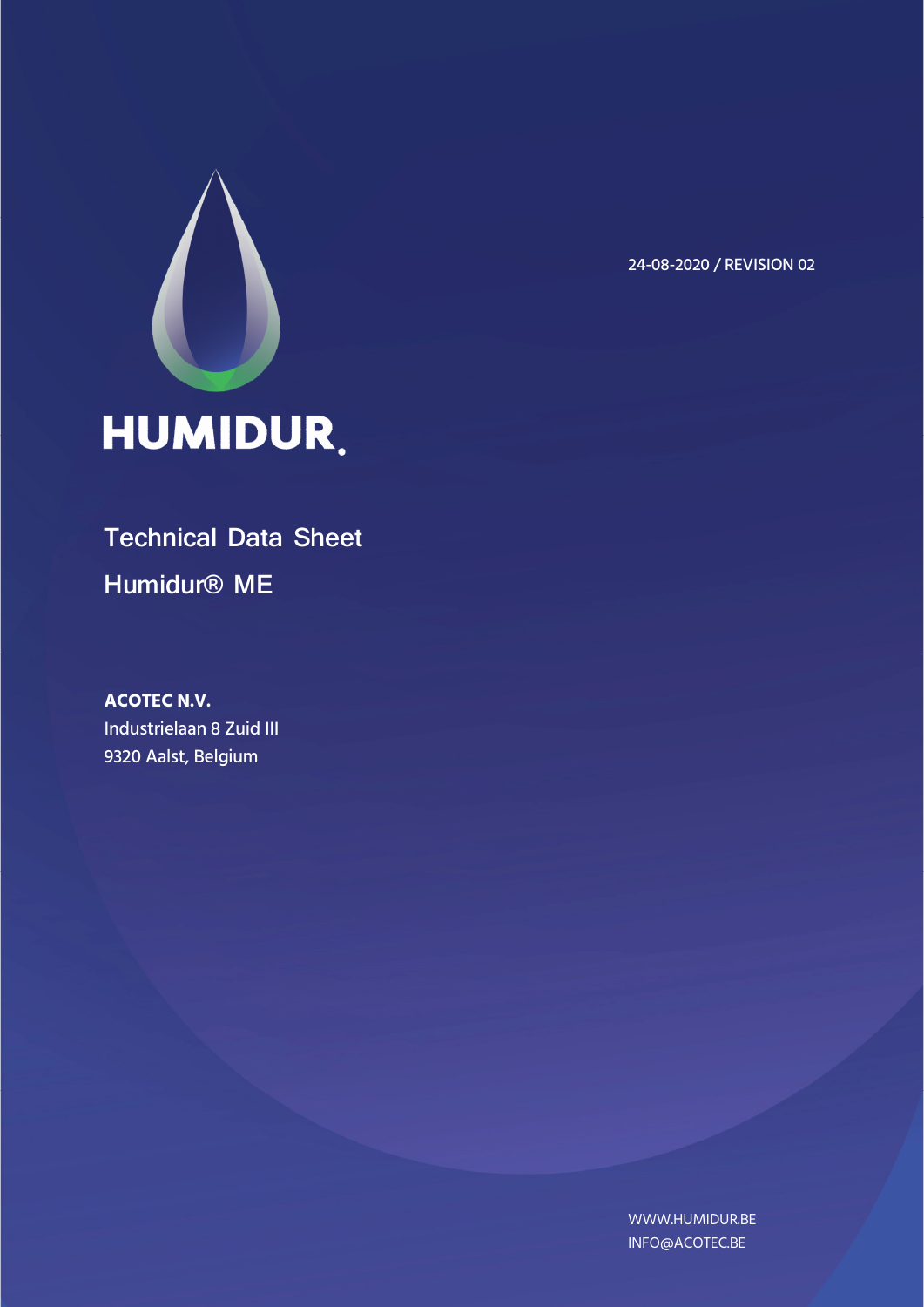

24-08-2020 / REVISION 02

# **Technical Data Sheet Humidur® ME**

**ACOTEC N.V.**  Industrielaan 8 Zuid III 9320 Aalst, Belgium

> WWW.HUMIDUR.BE INFO@ACOTEC.BE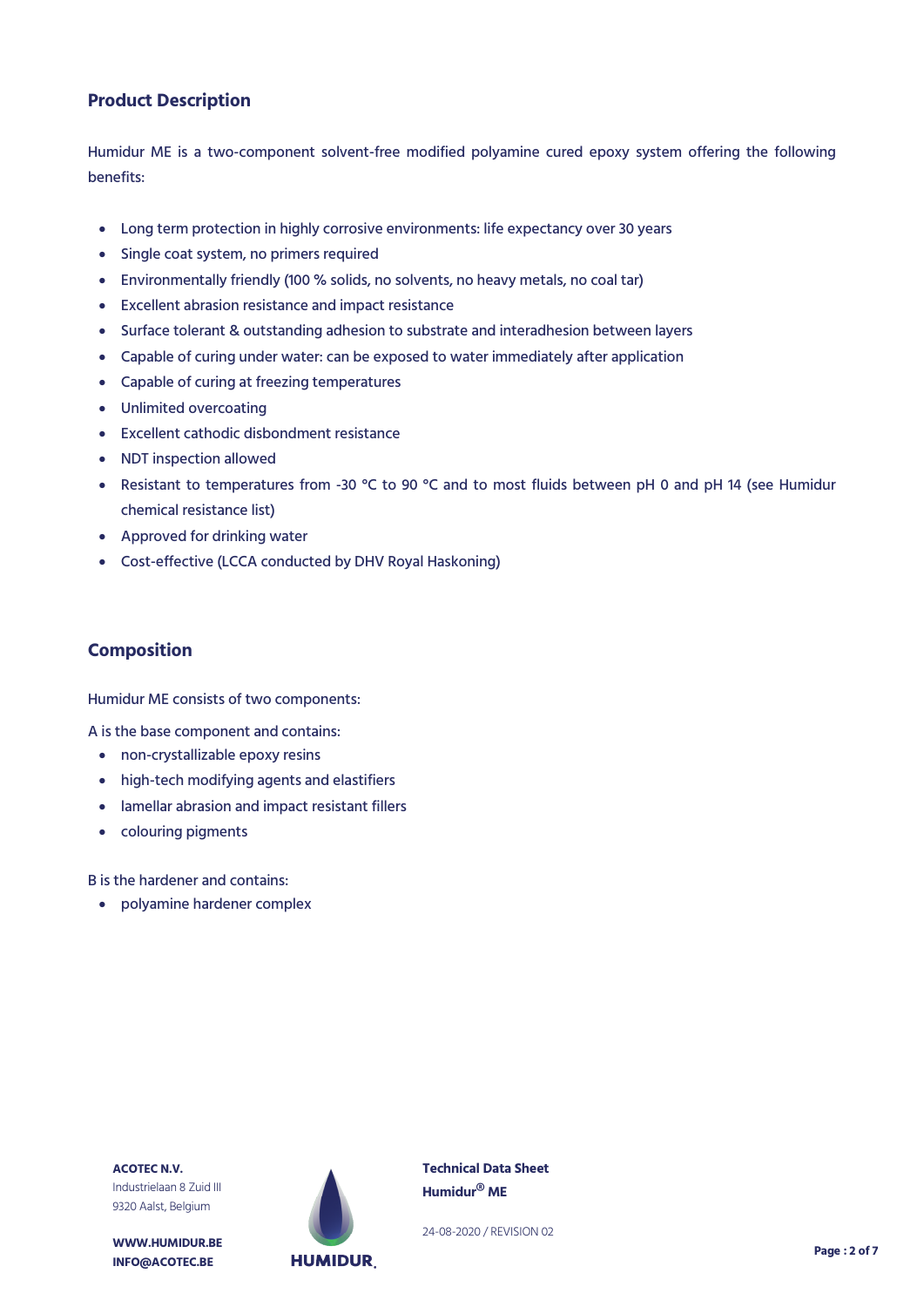# **Product Description**

Humidur ME is a two-component solvent-free modified polyamine cured epoxy system offering the following benefits:

- Long term protection in highly corrosive environments: life expectancy over 30 years
- Single coat system, no primers required
- Environmentally friendly (100 % solids, no solvents, no heavy metals, no coal tar)
- Excellent abrasion resistance and impact resistance
- Surface tolerant & outstanding adhesion to substrate and interadhesion between layers
- Capable of curing under water: can be exposed to water immediately after application
- Capable of curing at freezing temperatures
- Unlimited overcoating
- Excellent cathodic disbondment resistance
- NDT inspection allowed
- Resistant to temperatures from -30 °C to 90 °C and to most fluids between pH 0 and pH 14 (see Humidur chemical resistance list)
- Approved for drinking water
- Cost-effective (LCCA conducted by DHV Royal Haskoning)

#### **Composition**

Humidur ME consists of two components:

A is the base component and contains:

- non-crystallizable epoxy resins
- high-tech modifying agents and elastifiers
- lamellar abrasion and impact resistant fillers
- colouring pigments

B is the hardener and contains:

polyamine hardener complex



**WWW.HUMIDUR.BE INFO@ACOTEC.BE** 



**Technical Data Sheet Humidur® ME**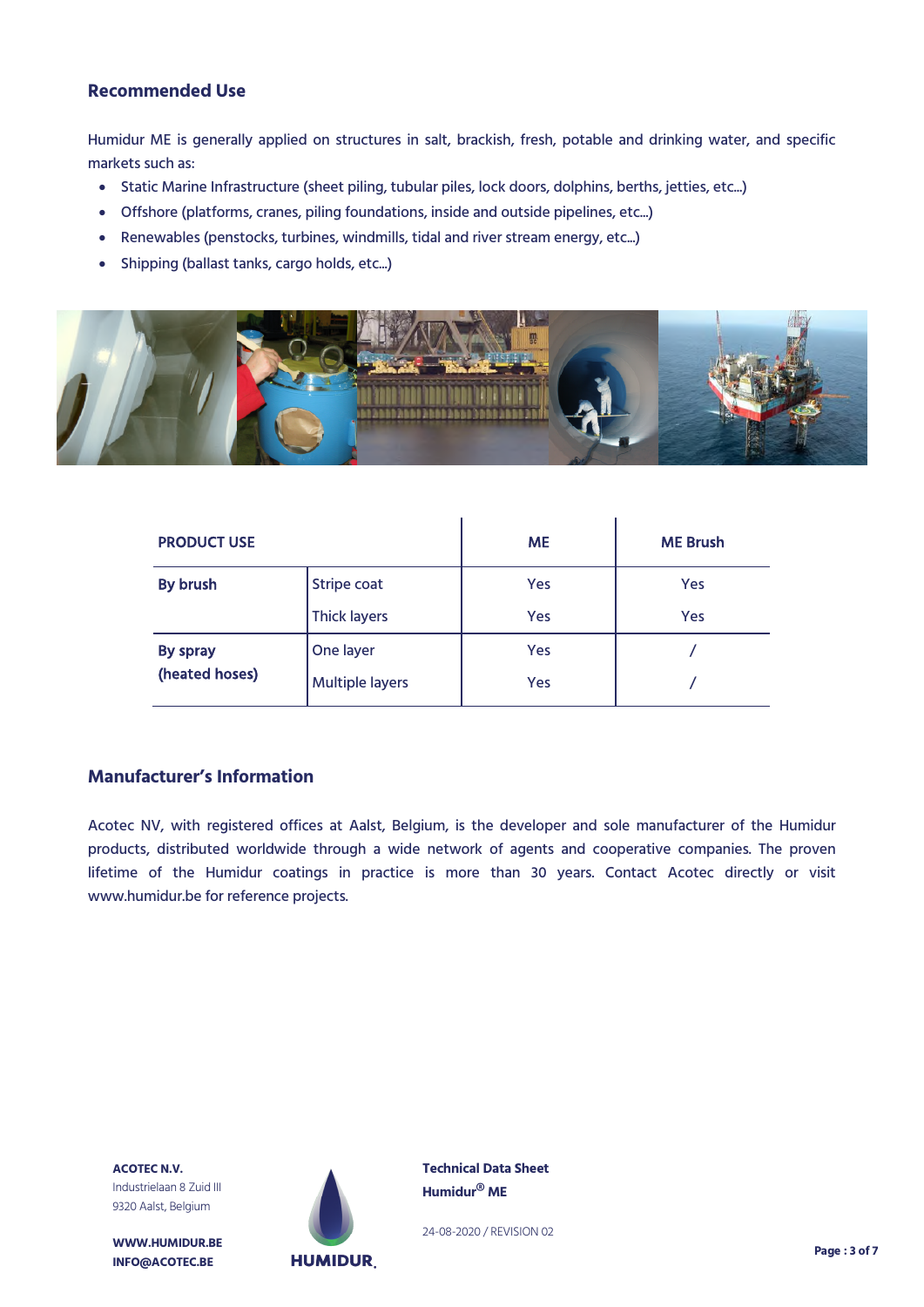#### **Recommended Use**

Humidur ME is generally applied on structures in salt, brackish, fresh, potable and drinking water, and specific markets such as:

- Static Marine Infrastructure (sheet piling, tubular piles, lock doors, dolphins, berths, jetties, etc...)
- Offshore (platforms, cranes, piling foundations, inside and outside pipelines, etc...)
- Renewables (penstocks, turbines, windmills, tidal and river stream energy, etc...)
- Shipping (ballast tanks, cargo holds, etc...)



| <b>PRODUCT USE</b> |                        | <b>ME</b> | <b>ME Brush</b> |
|--------------------|------------------------|-----------|-----------------|
| By brush           | Stripe coat            | Yes       | Yes             |
|                    | <b>Thick layers</b>    | Yes       | Yes             |
| By spray           | One layer              | Yes       |                 |
| (heated hoses)     | <b>Multiple layers</b> | Yes       |                 |

# **Manufacturer's Information**

Acotec NV, with registered offices at Aalst, Belgium, is the developer and sole manufacturer of the Humidur products, distributed worldwide through a wide network of agents and cooperative companies. The proven lifetime of the Humidur coatings in practice is more than 30 years. Contact Acotec directly or visit www.humidur.be for reference projects.

**ACOTEC N.V.** Industrielaan 8 Zuid III 9320 Aalst, Belgium

**WWW.HUMIDUR.BE INFO@ACOTEC.BE** 



**Technical Data Sheet Humidur® ME**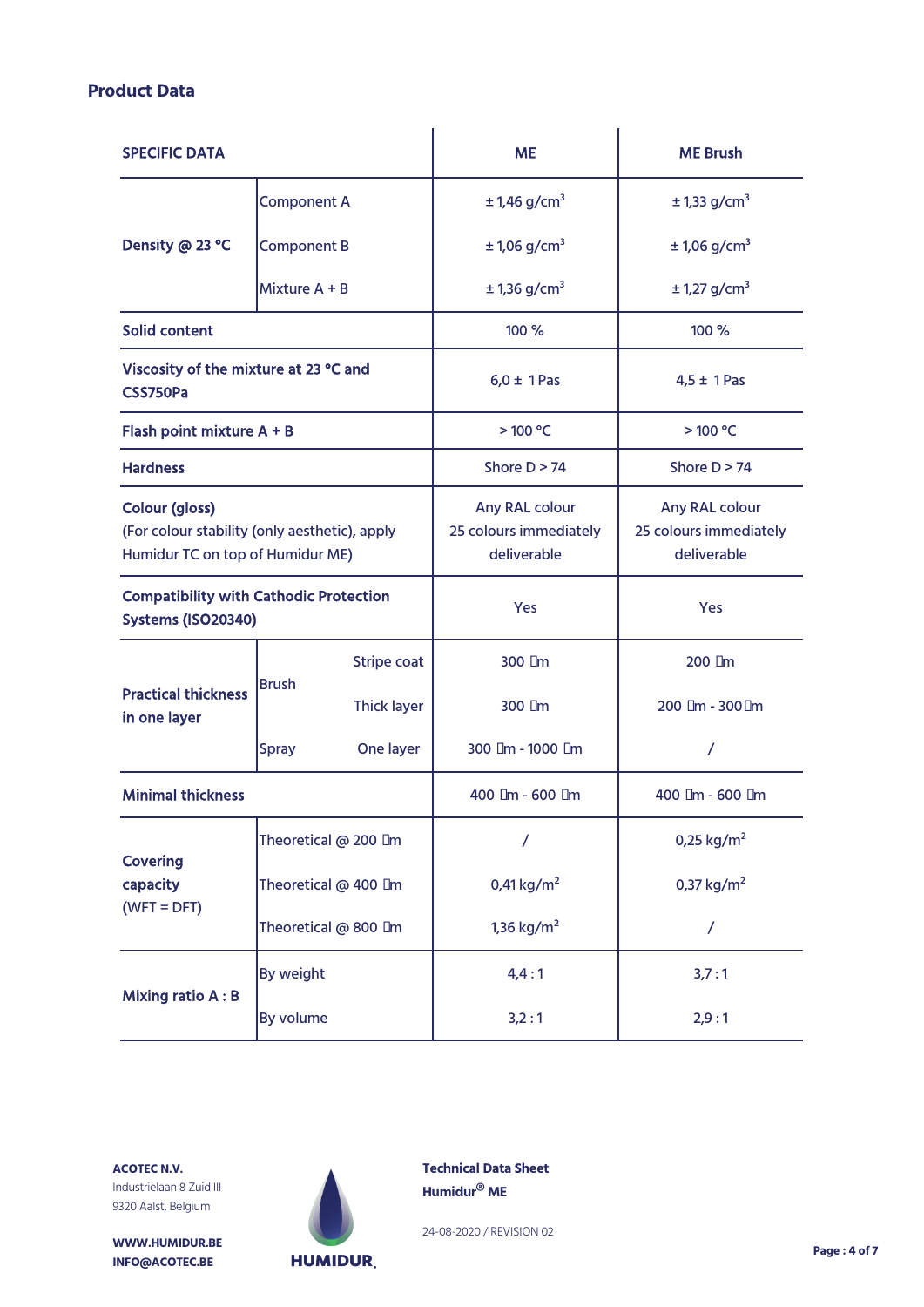# **Product Data**

| <b>SPECIFIC DATA</b>                                                                                       |                           |             | <b>ME</b>                                               | <b>ME Brush</b>                                         |  |
|------------------------------------------------------------------------------------------------------------|---------------------------|-------------|---------------------------------------------------------|---------------------------------------------------------|--|
|                                                                                                            | <b>Component A</b>        |             | $± 1,46$ g/cm <sup>3</sup>                              | $± 1,33$ g/cm <sup>3</sup>                              |  |
| Density @ 23 °C                                                                                            | <b>Component B</b>        |             | $± 1,06$ g/cm <sup>3</sup>                              | $± 1,06$ g/cm <sup>3</sup>                              |  |
|                                                                                                            | Mixture $A + B$           |             | $± 1,36$ g/cm <sup>3</sup>                              | $± 1,27$ g/cm <sup>3</sup>                              |  |
| <b>Solid content</b>                                                                                       |                           |             | 100 %                                                   | 100 %                                                   |  |
| Viscosity of the mixture at 23 °C and<br>CSS750Pa                                                          |                           |             | $6,0 \pm 1$ Pas                                         | $4,5 \pm 1$ Pas                                         |  |
| Flash point mixture A + B                                                                                  |                           |             | >100 °C                                                 | >100 °C                                                 |  |
| <b>Hardness</b>                                                                                            |                           |             | Shore $D > 74$                                          | Shore $D > 74$                                          |  |
| <b>Colour (gloss)</b><br>(For colour stability (only aesthetic), apply<br>Humidur TC on top of Humidur ME) |                           |             | Any RAL colour<br>25 colours immediately<br>deliverable | Any RAL colour<br>25 colours immediately<br>deliverable |  |
| <b>Compatibility with Cathodic Protection</b><br><b>Systems (ISO20340)</b>                                 |                           | <b>Yes</b>  | <b>Yes</b>                                              |                                                         |  |
|                                                                                                            | <b>Brush</b>              | Stripe coat | $300 \mu m$                                             | $200 \mu m$                                             |  |
| <b>Practical thickness</b><br>in one layer                                                                 |                           | Thick layer | $300 \mu m$                                             | 200 µm - 300µm                                          |  |
|                                                                                                            | <b>Spray</b><br>One layer |             | 300 µm - 1000 µm                                        | $\prime$                                                |  |
| <b>Minimal thickness</b>                                                                                   |                           |             | 400 µm - 600 µm                                         | 400 µm - 600 µm                                         |  |
| <b>Covering</b><br>capacity<br>$(WFT = DFT)$                                                               | Theoretical @ 200 µm      |             | $\prime$                                                | 0,25 $kg/m2$                                            |  |
|                                                                                                            | Theoretical @ 400 µm      |             | 0,41 $kg/m2$                                            | 0,37 $kg/m2$                                            |  |
|                                                                                                            | Theoretical @ 800 µm      |             | 1,36 $kg/m2$                                            | $\overline{1}$                                          |  |
| <b>Mixing ratio A: B</b>                                                                                   | By weight                 |             | 4,4:1                                                   | 3,7:1                                                   |  |
|                                                                                                            | By volume                 |             | 3,2:1                                                   | 2,9:1                                                   |  |

**ACOTEC N.V.** Industrielaan 8 Zuid III 9320 Aalst, Belgium

**WWW.HUMIDUR.BE INFO@ACOTEC.BE** 



**Technical Data Sheet Humidur® ME**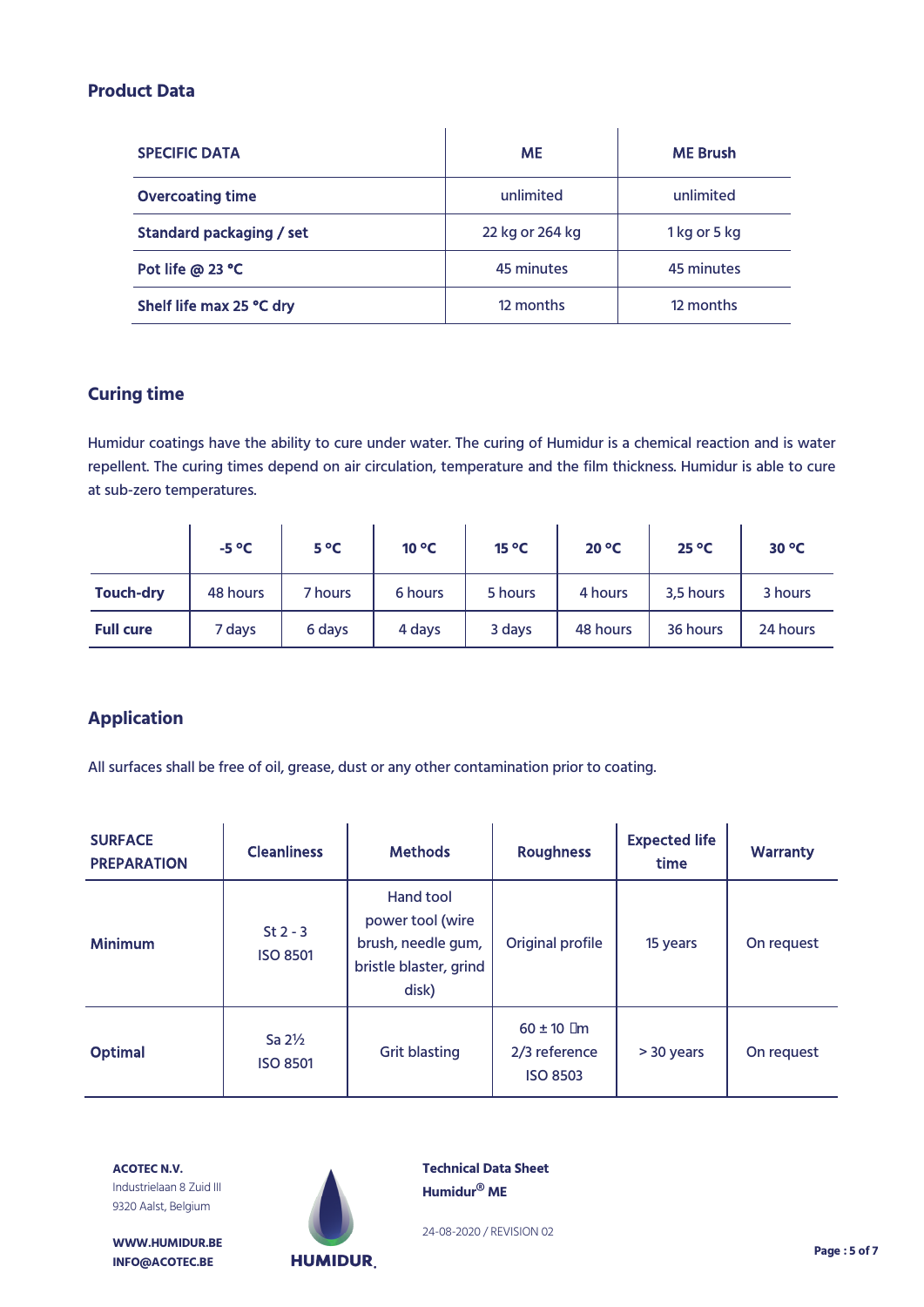#### **Product Data**

| <b>SPECIFIC DATA</b>     | <b>ME</b>       | <b>ME Brush</b> |
|--------------------------|-----------------|-----------------|
| <b>Overcoating time</b>  | unlimited       | unlimited       |
| Standard packaging / set | 22 kg or 264 kg | 1 kg or 5 kg    |
| Pot life @ 23 °C         | 45 minutes      | 45 minutes      |
| Shelf life max 25 °C dry | 12 months       | 12 months       |

# **Curing time**

Humidur coatings have the ability to cure under water. The curing of Humidur is a chemical reaction and is water repellent. The curing times depend on air circulation, temperature and the film thickness. Humidur is able to cure at sub-zero temperatures.

|                  | $-5^{\circ}C$ | $5^{\circ}C$ | $10^{\circ}$ C | $15^{\circ}$ C | $20^{\circ}$ C | $25^{\circ}$ C | $30^{\circ}$ C |
|------------------|---------------|--------------|----------------|----------------|----------------|----------------|----------------|
| <b>Touch-dry</b> | 48 hours      | 7 hours      | 6 hours        | 5 hours        | 4 hours        | 3,5 hours      | 3 hours        |
| <b>Full cure</b> | 7 days        | 6 days       | 4 days         | 3 days         | 48 hours       | 36 hours       | 24 hours       |

# **Application**

All surfaces shall be free of oil, grease, dust or any other contamination prior to coating.

| <b>SURFACE</b><br><b>PREPARATION</b> | <b>Cleanliness</b>                   | <b>Methods</b>                                                                         | <b>Roughness</b>                                      | <b>Expected life</b><br>time | <b>Warranty</b> |
|--------------------------------------|--------------------------------------|----------------------------------------------------------------------------------------|-------------------------------------------------------|------------------------------|-----------------|
| <b>Minimum</b>                       | $St 2 - 3$<br><b>ISO 8501</b>        | Hand tool<br>power tool (wire<br>brush, needle gum,<br>bristle blaster, grind<br>disk) | Original profile                                      | 15 years                     | On request      |
| <b>Optimal</b>                       | Sa $2\frac{1}{2}$<br><b>ISO 8501</b> | <b>Grit blasting</b>                                                                   | $60 \pm 10 \mu m$<br>2/3 reference<br><b>ISO 8503</b> | > 30 years                   | On request      |

**ACOTEC N.V.** Industrielaan 8 Zuid III 9320 Aalst, Belgium



**Technical Data Sheet Humidur® ME**

24-08-2020 / REVISION 02

**WWW.HUMIDUR.BE INFO@ACOTEC.BE** 

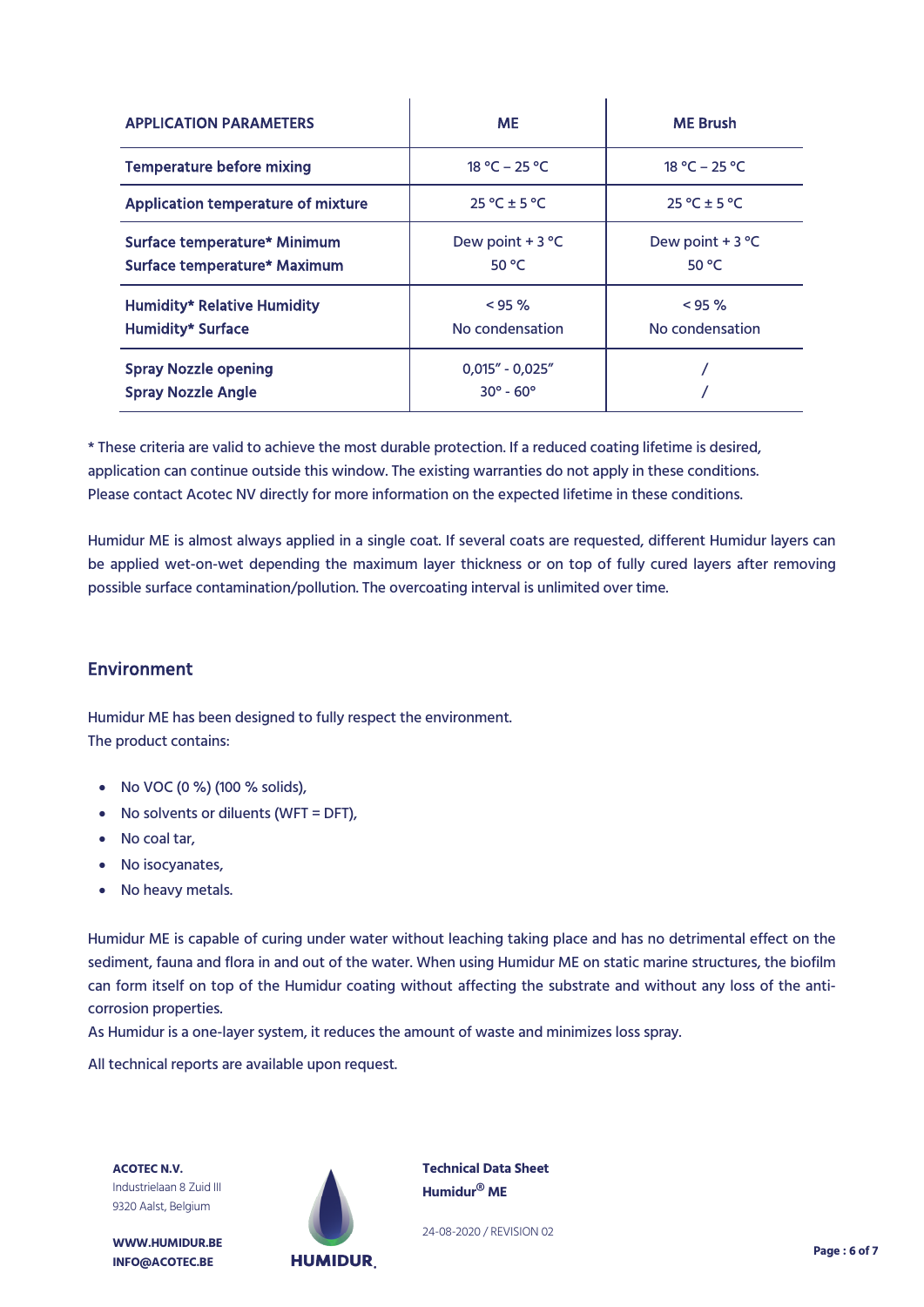| <b>APPLICATION PARAMETERS</b>                                  | <b>ME</b>                                        | <b>ME Brush</b>              |  |
|----------------------------------------------------------------|--------------------------------------------------|------------------------------|--|
| <b>Temperature before mixing</b>                               | 18 °C – 25 °C                                    | 18 °C – 25 °C                |  |
| <b>Application temperature of mixture</b>                      | $25^{\circ}$ C ± 5 °C                            | $25^{\circ}$ C ± 5 °C        |  |
| Surface temperature* Minimum<br>Surface temperature* Maximum   | Dew point $+3$ °C<br>50 °C                       | Dew point $+3$ °C<br>50 °C   |  |
| <b>Humidity* Relative Humidity</b><br><b>Humidity* Surface</b> | $< 95 \%$<br>No condensation                     | $< 95 \%$<br>No condensation |  |
| <b>Spray Nozzle opening</b><br><b>Spray Nozzle Angle</b>       | $0.015'' - 0.025''$<br>$30^{\circ} - 60^{\circ}$ |                              |  |

\* These criteria are valid to achieve the most durable protection. If a reduced coating lifetime is desired, application can continue outside this window. The existing warranties do not apply in these conditions. Please contact Acotec NV directly for more information on the expected lifetime in these conditions.

Humidur ME is almost always applied in a single coat. If several coats are requested, different Humidur layers can be applied wet-on-wet depending the maximum layer thickness or on top of fully cured layers after removing possible surface contamination/pollution. The overcoating interval is unlimited over time.

# Environment

Humidur ME has been designed to fully respect the environment. The product contains:

- No VOC (0 %) (100 % solids),
- No solvents or diluents (WFT = DFT),
- No coal tar,
- No isocyanates,
- No heavy metals.

Humidur ME is capable of curing under water without leaching taking place and has no detrimental effect on the sediment, fauna and flora in and out of the water. When using Humidur ME on static marine structures, the biofilm can form itself on top of the Humidur coating without affecting the substrate and without any loss of the anticorrosion properties.

As Humidur is a one-layer system, it reduces the amount of waste and minimizes loss spray.

All technical reports are available upon request.

**ACOTEC N.V.** Industrielaan 8 Zuid III 9320 Aalst, Belgium

**WWW.HUMIDUR.BE INFO@ACOTEC.BE** 



**Technical Data Sheet Humidur® ME**